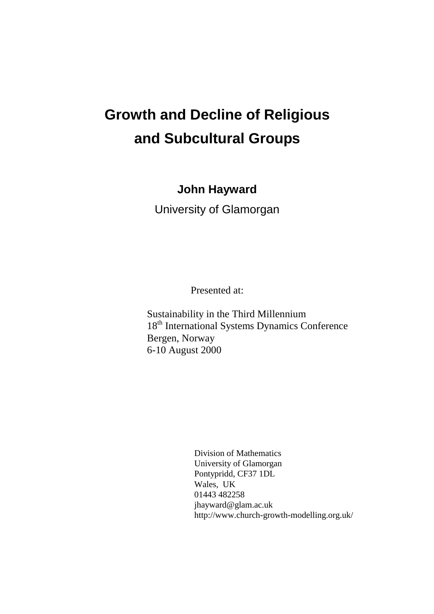# **Growth and Decline of Religious and Subcultural Groups**

**John Hayward**

University of Glamorgan

Presented at:

Sustainability in the Third Millennium 18<sup>th</sup> International Systems Dynamics Conference Bergen, Norway 6-10 August 2000

> Division of Mathematics University of Glamorgan Pontypridd, CF37 1DL Wales, UK 01443 482258 jhayward@glam.ac.uk http://www.church-growth-modelling.org.uk/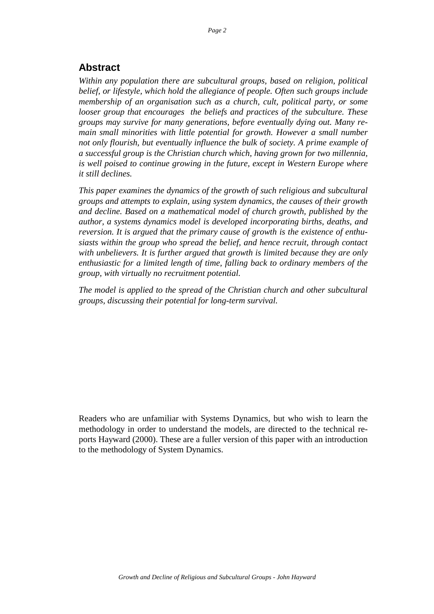# **Abstract**

*Within any population there are subcultural groups, based on religion, political belief, or lifestyle, which hold the allegiance of people. Often such groups include membership of an organisation such as a church, cult, political party, or some looser group that encourages the beliefs and practices of the subculture. These groups may survive for many generations, before eventually dying out. Many remain small minorities with little potential for growth. However a small number not only flourish, but eventually influence the bulk of society. A prime example of a successful group is the Christian church which, having grown for two millennia, is well poised to continue growing in the future, except in Western Europe where it still declines.*

*This paper examines the dynamics of the growth of such religious and subcultural groups and attempts to explain, using system dynamics, the causes of their growth and decline. Based on a mathematical model of church growth, published by the author, a systems dynamics model is developed incorporating births, deaths, and reversion. It is argued that the primary cause of growth is the existence of enthusiasts within the group who spread the belief, and hence recruit, through contact with unbelievers. It is further argued that growth is limited because they are only enthusiastic for a limited length of time, falling back to ordinary members of the group, with virtually no recruitment potential.*

*The model is applied to the spread of the Christian church and other subcultural groups, discussing their potential for long-term survival.*

Readers who are unfamiliar with Systems Dynamics, but who wish to learn the methodology in order to understand the models, are directed to the technical reports Hayward (2000). These are a fuller version of this paper with an introduction to the methodology of System Dynamics.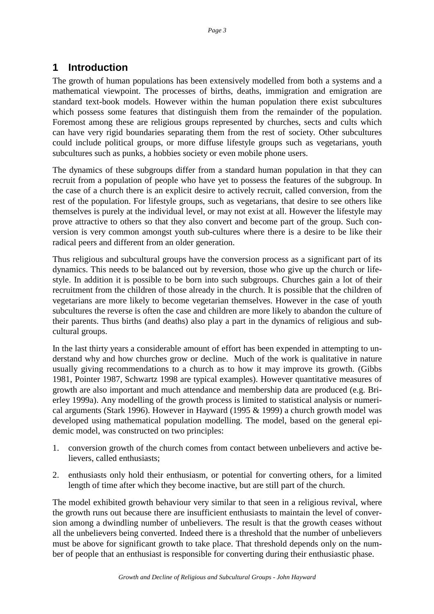# **1 Introduction**

The growth of human populations has been extensively modelled from both a systems and a mathematical viewpoint. The processes of births, deaths, immigration and emigration are standard text-book models. However within the human population there exist subcultures which possess some features that distinguish them from the remainder of the population. Foremost among these are religious groups represented by churches, sects and cults which can have very rigid boundaries separating them from the rest of society. Other subcultures could include political groups, or more diffuse lifestyle groups such as vegetarians, youth subcultures such as punks, a hobbies society or even mobile phone users.

The dynamics of these subgroups differ from a standard human population in that they can recruit from a population of people who have yet to possess the features of the subgroup. In the case of a church there is an explicit desire to actively recruit, called conversion, from the rest of the population. For lifestyle groups, such as vegetarians, that desire to see others like themselves is purely at the individual level, or may not exist at all. However the lifestyle may prove attractive to others so that they also convert and become part of the group. Such conversion is very common amongst youth sub-cultures where there is a desire to be like their radical peers and different from an older generation.

Thus religious and subcultural groups have the conversion process as a significant part of its dynamics. This needs to be balanced out by reversion, those who give up the church or lifestyle. In addition it is possible to be born into such subgroups. Churches gain a lot of their recruitment from the children of those already in the church. It is possible that the children of vegetarians are more likely to become vegetarian themselves. However in the case of youth subcultures the reverse is often the case and children are more likely to abandon the culture of their parents. Thus births (and deaths) also play a part in the dynamics of religious and subcultural groups.

In the last thirty years a considerable amount of effort has been expended in attempting to understand why and how churches grow or decline. Much of the work is qualitative in nature usually giving recommendations to a church as to how it may improve its growth. (Gibbs 1981, Pointer 1987, Schwartz 1998 are typical examples). However quantitative measures of growth are also important and much attendance and membership data are produced (e.g. Brierley 1999a). Any modelling of the growth process is limited to statistical analysis or numerical arguments (Stark 1996). However in Hayward (1995 & 1999) a church growth model was developed using mathematical population modelling. The model, based on the general epidemic model, was constructed on two principles:

- 1. conversion growth of the church comes from contact between unbelievers and active believers, called enthusiasts;
- 2. enthusiasts only hold their enthusiasm, or potential for converting others, for a limited length of time after which they become inactive, but are still part of the church.

The model exhibited growth behaviour very similar to that seen in a religious revival, where the growth runs out because there are insufficient enthusiasts to maintain the level of conversion among a dwindling number of unbelievers. The result is that the growth ceases without all the unbelievers being converted. Indeed there is a threshold that the number of unbelievers must be above for significant growth to take place. That threshold depends only on the number of people that an enthusiast is responsible for converting during their enthusiastic phase.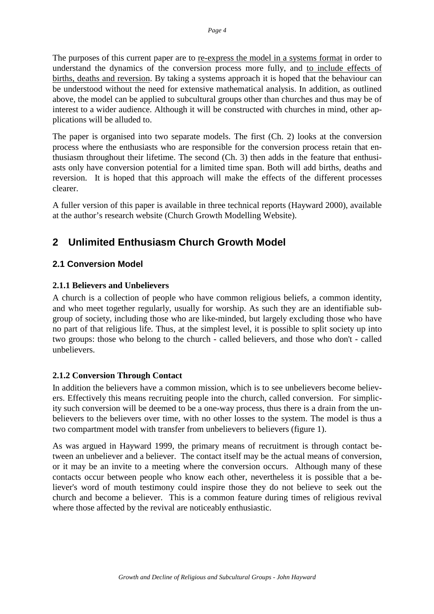The purposes of this current paper are to re-express the model in a systems format in order to understand the dynamics of the conversion process more fully, and to include effects of births, deaths and reversion. By taking a systems approach it is hoped that the behaviour can be understood without the need for extensive mathematical analysis. In addition, as outlined above, the model can be applied to subcultural groups other than churches and thus may be of interest to a wider audience. Although it will be constructed with churches in mind, other applications will be alluded to.

The paper is organised into two separate models. The first (Ch. 2) looks at the conversion process where the enthusiasts who are responsible for the conversion process retain that enthusiasm throughout their lifetime. The second (Ch. 3) then adds in the feature that enthusiasts only have conversion potential for a limited time span. Both will add births, deaths and reversion. It is hoped that this approach will make the effects of the different processes clearer.

A fuller version of this paper is available in three technical reports (Hayward 2000), available at the author's research website (Church Growth Modelling Website).

# **2 Unlimited Enthusiasm Church Growth Model**

# **2.1 Conversion Model**

#### **2.1.1 Believers and Unbelievers**

A church is a collection of people who have common religious beliefs, a common identity, and who meet together regularly, usually for worship. As such they are an identifiable subgroup of society, including those who are like-minded, but largely excluding those who have no part of that religious life. Thus, at the simplest level, it is possible to split society up into two groups: those who belong to the church - called believers, and those who don't - called unbelievers.

# **2.1.2 Conversion Through Contact**

In addition the believers have a common mission, which is to see unbelievers become believers. Effectively this means recruiting people into the church, called conversion. For simplicity such conversion will be deemed to be a one-way process, thus there is a drain from the unbelievers to the believers over time, with no other losses to the system. The model is thus a two compartment model with transfer from unbelievers to believers (figure 1).

As was argued in Hayward 1999, the primary means of recruitment is through contact between an unbeliever and a believer. The contact itself may be the actual means of conversion, or it may be an invite to a meeting where the conversion occurs. Although many of these contacts occur between people who know each other, nevertheless it is possible that a believer's word of mouth testimony could inspire those they do not believe to seek out the church and become a believer. This is a common feature during times of religious revival where those affected by the revival are noticeably enthusiastic.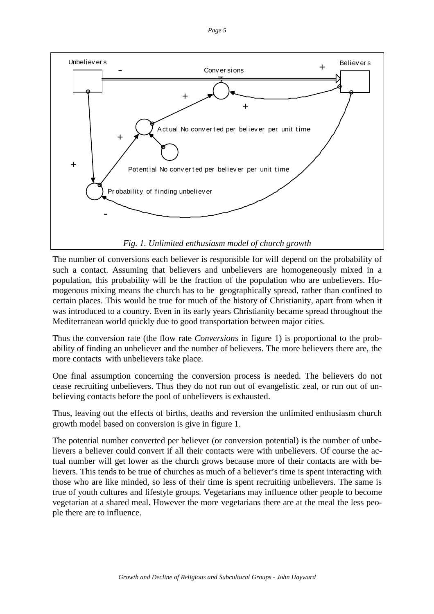

The number of conversions each believer is responsible for will depend on the probability of such a contact. Assuming that believers and unbelievers are homogeneously mixed in a population, this probability will be the fraction of the population who are unbelievers. Homogenous mixing means the church has to be geographically spread, rather than confined to certain places. This would be true for much of the history of Christianity, apart from when it was introduced to a country. Even in its early years Christianity became spread throughout the Mediterranean world quickly due to good transportation between major cities.

Thus the conversion rate (the flow rate *Conversions* in figure 1) is proportional to the probability of finding an unbeliever and the number of believers. The more believers there are, the more contacts with unbelievers take place.

One final assumption concerning the conversion process is needed. The believers do not cease recruiting unbelievers. Thus they do not run out of evangelistic zeal, or run out of unbelieving contacts before the pool of unbelievers is exhausted.

Thus, leaving out the effects of births, deaths and reversion the unlimited enthusiasm church growth model based on conversion is give in figure 1.

The potential number converted per believer (or conversion potential) is the number of unbelievers a believer could convert if all their contacts were with unbelievers. Of course the actual number will get lower as the church grows because more of their contacts are with believers. This tends to be true of churches as much of a believer's time is spent interacting with those who are like minded, so less of their time is spent recruiting unbelievers. The same is true of youth cultures and lifestyle groups. Vegetarians may influence other people to become vegetarian at a shared meal. However the more vegetarians there are at the meal the less people there are to influence.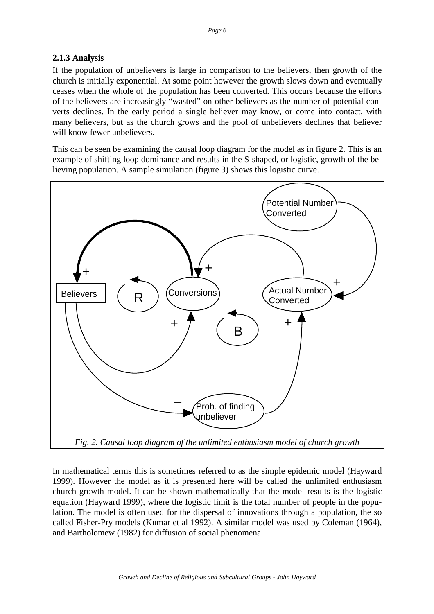# **2.1.3 Analysis**

If the population of unbelievers is large in comparison to the believers, then growth of the church is initially exponential. At some point however the growth slows down and eventually ceases when the whole of the population has been converted. This occurs because the efforts of the believers are increasingly "wasted" on other believers as the number of potential converts declines. In the early period a single believer may know, or come into contact, with many believers, but as the church grows and the pool of unbelievers declines that believer will know fewer unbelievers.

This can be seen be examining the causal loop diagram for the model as in figure 2. This is an example of shifting loop dominance and results in the S-shaped, or logistic, growth of the believing population. A sample simulation (figure 3) shows this logistic curve.



In mathematical terms this is sometimes referred to as the simple epidemic model (Hayward 1999). However the model as it is presented here will be called the unlimited enthusiasm church growth model. It can be shown mathematically that the model results is the logistic equation (Hayward 1999), where the logistic limit is the total number of people in the population. The model is often used for the dispersal of innovations through a population, the so called Fisher-Pry models (Kumar et al 1992). A similar model was used by Coleman (1964), and Bartholomew (1982) for diffusion of social phenomena.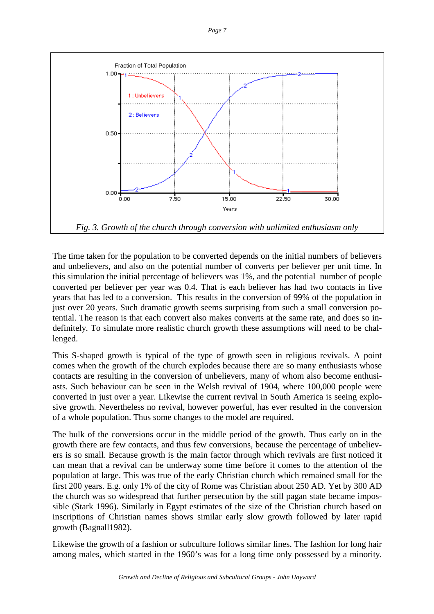



The time taken for the population to be converted depends on the initial numbers of believers and unbelievers, and also on the potential number of converts per believer per unit time. In this simulation the initial percentage of believers was 1%, and the potential number of people converted per believer per year was 0.4. That is each believer has had two contacts in five years that has led to a conversion. This results in the conversion of 99% of the population in just over 20 years. Such dramatic growth seems surprising from such a small conversion potential. The reason is that each convert also makes converts at the same rate, and does so indefinitely. To simulate more realistic church growth these assumptions will need to be challenged.

This S-shaped growth is typical of the type of growth seen in religious revivals. A point comes when the growth of the church explodes because there are so many enthusiasts whose contacts are resulting in the conversion of unbelievers, many of whom also become enthusiasts. Such behaviour can be seen in the Welsh revival of 1904, where 100,000 people were converted in just over a year. Likewise the current revival in South America is seeing explosive growth. Nevertheless no revival, however powerful, has ever resulted in the conversion of a whole population. Thus some changes to the model are required.

The bulk of the conversions occur in the middle period of the growth. Thus early on in the growth there are few contacts, and thus few conversions, because the percentage of unbelievers is so small. Because growth is the main factor through which revivals are first noticed it can mean that a revival can be underway some time before it comes to the attention of the population at large. This was true of the early Christian church which remained small for the first 200 years. E.g. only 1% of the city of Rome was Christian about 250 AD. Yet by 300 AD the church was so widespread that further persecution by the still pagan state became impossible (Stark 1996). Similarly in Egypt estimates of the size of the Christian church based on inscriptions of Christian names shows similar early slow growth followed by later rapid growth (Bagnall1982).

Likewise the growth of a fashion or subculture follows similar lines. The fashion for long hair among males, which started in the 1960's was for a long time only possessed by a minority.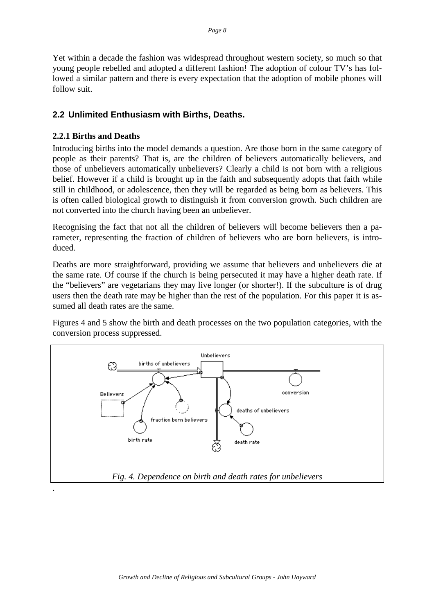Yet within a decade the fashion was widespread throughout western society, so much so that young people rebelled and adopted a different fashion! The adoption of colour TV's has followed a similar pattern and there is every expectation that the adoption of mobile phones will follow suit.

#### **2.2 Unlimited Enthusiasm with Births, Deaths.**

#### **2.2.1 Births and Deaths**

Introducing births into the model demands a question. Are those born in the same category of people as their parents? That is, are the children of believers automatically believers, and those of unbelievers automatically unbelievers? Clearly a child is not born with a religious belief. However if a child is brought up in the faith and subsequently adopts that faith while still in childhood, or adolescence, then they will be regarded as being born as believers. This is often called biological growth to distinguish it from conversion growth. Such children are not converted into the church having been an unbeliever.

Recognising the fact that not all the children of believers will become believers then a parameter, representing the fraction of children of believers who are born believers, is introduced.

Deaths are more straightforward, providing we assume that believers and unbelievers die at the same rate. Of course if the church is being persecuted it may have a higher death rate. If the "believers" are vegetarians they may live longer (or shorter!). If the subculture is of drug users then the death rate may be higher than the rest of the population. For this paper it is assumed all death rates are the same.

Figures 4 and 5 show the birth and death processes on the two population categories, with the conversion process suppressed.

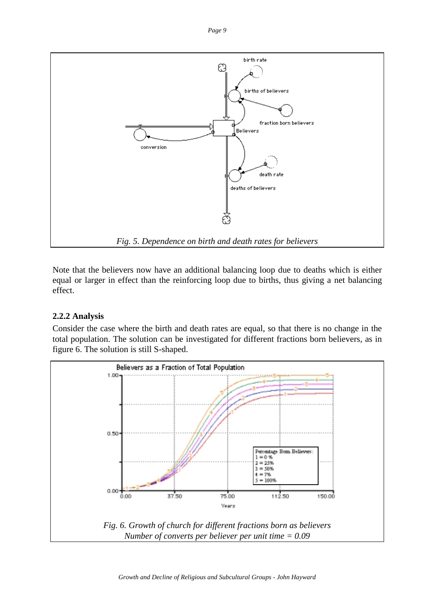*Page 9*



Note that the believers now have an additional balancing loop due to deaths which is either equal or larger in effect than the reinforcing loop due to births, thus giving a net balancing effect.

# **2.2.2 Analysis**

Consider the case where the birth and death rates are equal, so that there is no change in the total population. The solution can be investigated for different fractions born believers, as in figure 6. The solution is still S-shaped.

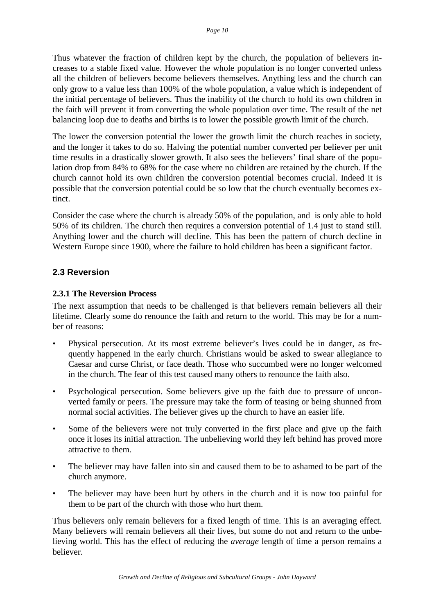Thus whatever the fraction of children kept by the church, the population of believers increases to a stable fixed value. However the whole population is no longer converted unless all the children of believers become believers themselves. Anything less and the church can only grow to a value less than 100% of the whole population, a value which is independent of the initial percentage of believers. Thus the inability of the church to hold its own children in the faith will prevent it from converting the whole population over time. The result of the net balancing loop due to deaths and births is to lower the possible growth limit of the church.

The lower the conversion potential the lower the growth limit the church reaches in society, and the longer it takes to do so. Halving the potential number converted per believer per unit time results in a drastically slower growth. It also sees the believers' final share of the population drop from 84% to 68% for the case where no children are retained by the church. If the church cannot hold its own children the conversion potential becomes crucial. Indeed it is possible that the conversion potential could be so low that the church eventually becomes extinct.

Consider the case where the church is already 50% of the population, and is only able to hold 50% of its children. The church then requires a conversion potential of 1.4 just to stand still. Anything lower and the church will decline. This has been the pattern of church decline in Western Europe since 1900, where the failure to hold children has been a significant factor.

# **2.3 Reversion**

#### **2.3.1 The Reversion Process**

The next assumption that needs to be challenged is that believers remain believers all their lifetime. Clearly some do renounce the faith and return to the world. This may be for a number of reasons:

- Physical persecution. At its most extreme believer's lives could be in danger, as frequently happened in the early church. Christians would be asked to swear allegiance to Caesar and curse Christ, or face death. Those who succumbed were no longer welcomed in the church. The fear of this test caused many others to renounce the faith also.
- Psychological persecution. Some believers give up the faith due to pressure of unconverted family or peers. The pressure may take the form of teasing or being shunned from normal social activities. The believer gives up the church to have an easier life.
- Some of the believers were not truly converted in the first place and give up the faith once it loses its initial attraction. The unbelieving world they left behind has proved more attractive to them.
- The believer may have fallen into sin and caused them to be to ashamed to be part of the church anymore.
- The believer may have been hurt by others in the church and it is now too painful for them to be part of the church with those who hurt them.

Thus believers only remain believers for a fixed length of time. This is an averaging effect. Many believers will remain believers all their lives, but some do not and return to the unbelieving world. This has the effect of reducing the *average* length of time a person remains a believer.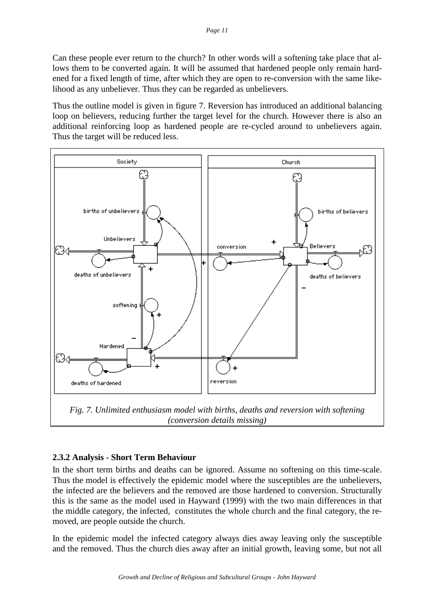Can these people ever return to the church? In other words will a softening take place that allows them to be converted again. It will be assumed that hardened people only remain hardened for a fixed length of time, after which they are open to re-conversion with the same likelihood as any unbeliever. Thus they can be regarded as unbelievers.

Thus the outline model is given in figure 7. Reversion has introduced an additional balancing loop on believers, reducing further the target level for the church. However there is also an additional reinforcing loop as hardened people are re-cycled around to unbelievers again. Thus the target will be reduced less.



*(conversion details missing)*

# **2.3.2 Analysis - Short Term Behaviour**

In the short term births and deaths can be ignored. Assume no softening on this time-scale. Thus the model is effectively the epidemic model where the susceptibles are the unbelievers, the infected are the believers and the removed are those hardened to conversion. Structurally this is the same as the model used in Hayward (1999) with the two main differences in that the middle category, the infected, constitutes the whole church and the final category, the removed, are people outside the church.

In the epidemic model the infected category always dies away leaving only the susceptible and the removed. Thus the church dies away after an initial growth, leaving some, but not all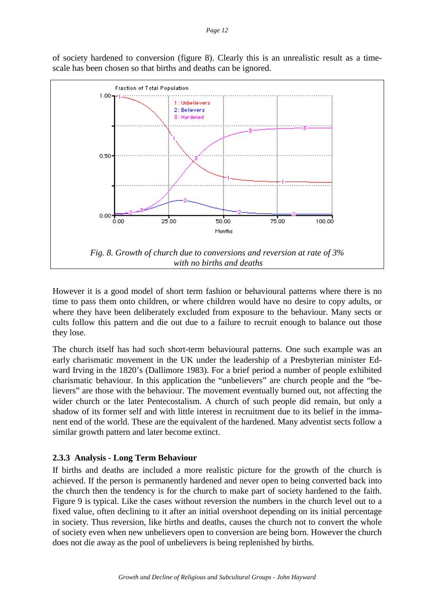of society hardened to conversion (figure 8). Clearly this is an unrealistic result as a timescale has been chosen so that births and deaths can be ignored.



However it is a good model of short term fashion or behavioural patterns where there is no time to pass them onto children, or where children would have no desire to copy adults, or where they have been deliberately excluded from exposure to the behaviour. Many sects or cults follow this pattern and die out due to a failure to recruit enough to balance out those they lose.

The church itself has had such short-term behavioural patterns. One such example was an early charismatic movement in the UK under the leadership of a Presbyterian minister Edward Irving in the 1820's (Dallimore 1983). For a brief period a number of people exhibited charismatic behaviour. In this application the "unbelievers" are church people and the "believers" are those with the behaviour. The movement eventually burned out, not affecting the wider church or the later Pentecostalism. A church of such people did remain, but only a shadow of its former self and with little interest in recruitment due to its belief in the immanent end of the world. These are the equivalent of the hardened. Many adventist sects follow a similar growth pattern and later become extinct.

# **2.3.3 Analysis - Long Term Behaviour**

If births and deaths are included a more realistic picture for the growth of the church is achieved. If the person is permanently hardened and never open to being converted back into the church then the tendency is for the church to make part of society hardened to the faith. Figure 9 is typical. Like the cases without reversion the numbers in the church level out to a fixed value, often declining to it after an initial overshoot depending on its initial percentage in society. Thus reversion, like births and deaths, causes the church not to convert the whole of society even when new unbelievers open to conversion are being born. However the church does not die away as the pool of unbelievers is being replenished by births.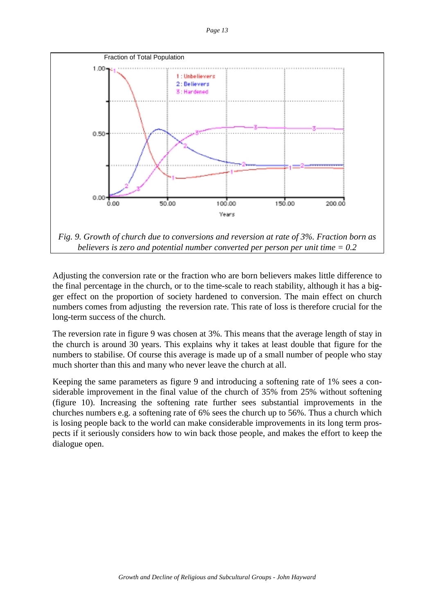

Adjusting the conversion rate or the fraction who are born believers makes little difference to the final percentage in the church, or to the time-scale to reach stability, although it has a bigger effect on the proportion of society hardened to conversion. The main effect on church numbers comes from adjusting the reversion rate. This rate of loss is therefore crucial for the long-term success of the church.

The reversion rate in figure 9 was chosen at 3%. This means that the average length of stay in the church is around 30 years. This explains why it takes at least double that figure for the numbers to stabilise. Of course this average is made up of a small number of people who stay much shorter than this and many who never leave the church at all.

Keeping the same parameters as figure 9 and introducing a softening rate of 1% sees a considerable improvement in the final value of the church of 35% from 25% without softening (figure 10). Increasing the softening rate further sees substantial improvements in the churches numbers e.g. a softening rate of 6% sees the church up to 56%. Thus a church which is losing people back to the world can make considerable improvements in its long term prospects if it seriously considers how to win back those people, and makes the effort to keep the dialogue open.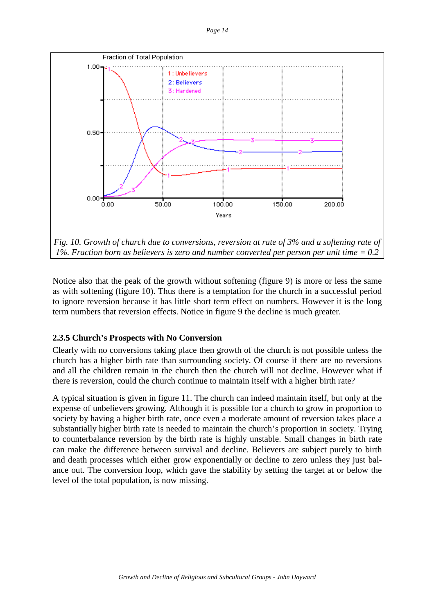

Notice also that the peak of the growth without softening (figure 9) is more or less the same as with softening (figure 10). Thus there is a temptation for the church in a successful period to ignore reversion because it has little short term effect on numbers. However it is the long term numbers that reversion effects. Notice in figure 9 the decline is much greater.

# **2.3.5 Church's Prospects with No Conversion**

Clearly with no conversions taking place then growth of the church is not possible unless the church has a higher birth rate than surrounding society. Of course if there are no reversions and all the children remain in the church then the church will not decline. However what if there is reversion, could the church continue to maintain itself with a higher birth rate?

A typical situation is given in figure 11. The church can indeed maintain itself, but only at the expense of unbelievers growing. Although it is possible for a church to grow in proportion to society by having a higher birth rate, once even a moderate amount of reversion takes place a substantially higher birth rate is needed to maintain the church's proportion in society. Trying to counterbalance reversion by the birth rate is highly unstable. Small changes in birth rate can make the difference between survival and decline. Believers are subject purely to birth and death processes which either grow exponentially or decline to zero unless they just balance out. The conversion loop, which gave the stability by setting the target at or below the level of the total population, is now missing.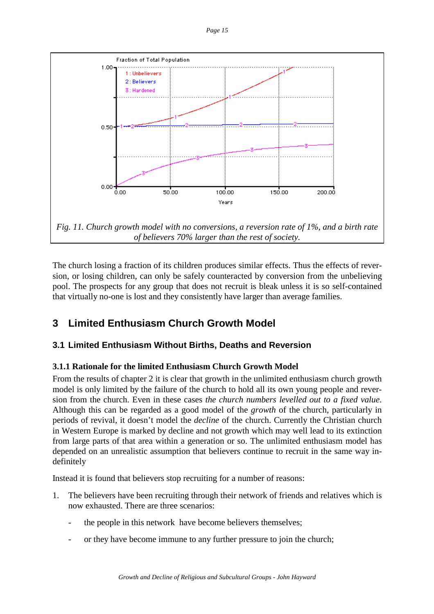

The church losing a fraction of its children produces similar effects. Thus the effects of reversion, or losing children, can only be safely counteracted by conversion from the unbelieving pool. The prospects for any group that does not recruit is bleak unless it is so self-contained that virtually no-one is lost and they consistently have larger than average families.

# **3 Limited Enthusiasm Church Growth Model**

# **3.1 Limited Enthusiasm Without Births, Deaths and Reversion**

# **3.1.1 Rationale for the limited Enthusiasm Church Growth Model**

From the results of chapter 2 it is clear that growth in the unlimited enthusiasm church growth model is only limited by the failure of the church to hold all its own young people and reversion from the church. Even in these cases *the church numbers levelled out to a fixed value*. Although this can be regarded as a good model of the *growth* of the church, particularly in periods of revival, it doesn't model the *decline* of the church. Currently the Christian church in Western Europe is marked by decline and not growth which may well lead to its extinction from large parts of that area within a generation or so. The unlimited enthusiasm model has depended on an unrealistic assumption that believers continue to recruit in the same way indefinitely

Instead it is found that believers stop recruiting for a number of reasons:

- 1. The believers have been recruiting through their network of friends and relatives which is now exhausted. There are three scenarios:
	- the people in this network have become believers themselves;
	- or they have become immune to any further pressure to join the church;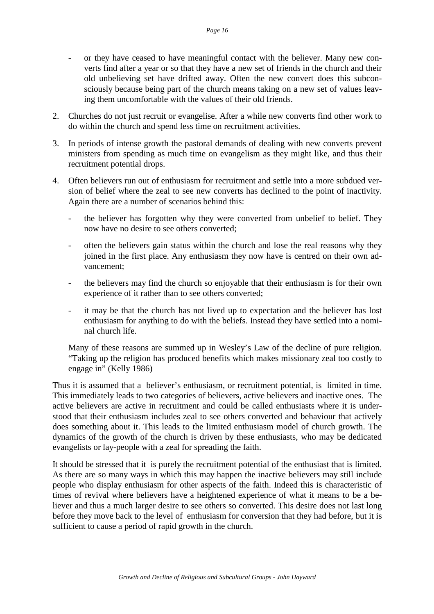- or they have ceased to have meaningful contact with the believer. Many new converts find after a year or so that they have a new set of friends in the church and their old unbelieving set have drifted away. Often the new convert does this subconsciously because being part of the church means taking on a new set of values leaving them uncomfortable with the values of their old friends.
- 2. Churches do not just recruit or evangelise. After a while new converts find other work to do within the church and spend less time on recruitment activities.
- 3. In periods of intense growth the pastoral demands of dealing with new converts prevent ministers from spending as much time on evangelism as they might like, and thus their recruitment potential drops.
- 4. Often believers run out of enthusiasm for recruitment and settle into a more subdued version of belief where the zeal to see new converts has declined to the point of inactivity. Again there are a number of scenarios behind this:
	- the believer has forgotten why they were converted from unbelief to belief. They now have no desire to see others converted;
	- often the believers gain status within the church and lose the real reasons why they joined in the first place. Any enthusiasm they now have is centred on their own advancement;
	- the believers may find the church so enjoyable that their enthusiasm is for their own experience of it rather than to see others converted;
	- it may be that the church has not lived up to expectation and the believer has lost enthusiasm for anything to do with the beliefs. Instead they have settled into a nominal church life.

Many of these reasons are summed up in Wesley's Law of the decline of pure religion. "Taking up the religion has produced benefits which makes missionary zeal too costly to engage in" (Kelly 1986)

Thus it is assumed that a believer's enthusiasm, or recruitment potential, is limited in time. This immediately leads to two categories of believers, active believers and inactive ones. The active believers are active in recruitment and could be called enthusiasts where it is understood that their enthusiasm includes zeal to see others converted and behaviour that actively does something about it. This leads to the limited enthusiasm model of church growth. The dynamics of the growth of the church is driven by these enthusiasts, who may be dedicated evangelists or lay-people with a zeal for spreading the faith.

It should be stressed that it is purely the recruitment potential of the enthusiast that is limited. As there are so many ways in which this may happen the inactive believers may still include people who display enthusiasm for other aspects of the faith. Indeed this is characteristic of times of revival where believers have a heightened experience of what it means to be a believer and thus a much larger desire to see others so converted. This desire does not last long before they move back to the level of enthusiasm for conversion that they had before, but it is sufficient to cause a period of rapid growth in the church.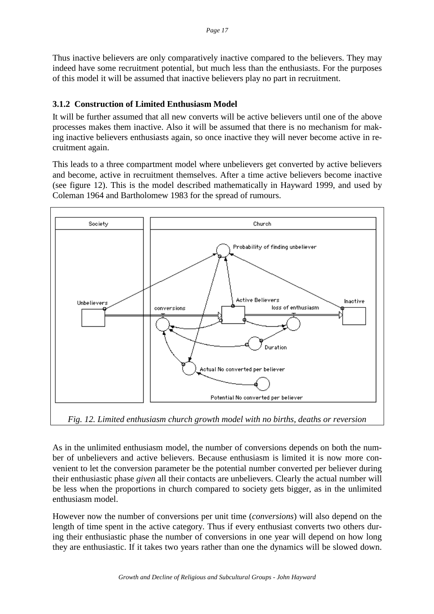Thus inactive believers are only comparatively inactive compared to the believers. They may indeed have some recruitment potential, but much less than the enthusiasts. For the purposes of this model it will be assumed that inactive believers play no part in recruitment.

## **3.1.2 Construction of Limited Enthusiasm Model**

It will be further assumed that all new converts will be active believers until one of the above processes makes them inactive. Also it will be assumed that there is no mechanism for making inactive believers enthusiasts again, so once inactive they will never become active in recruitment again.

This leads to a three compartment model where unbelievers get converted by active believers and become, active in recruitment themselves. After a time active believers become inactive (see figure 12). This is the model described mathematically in Hayward 1999, and used by Coleman 1964 and Bartholomew 1983 for the spread of rumours.



*Fig. 12. Limited enthusiasm church growth model with no births, deaths or reversion*

As in the unlimited enthusiasm model, the number of conversions depends on both the number of unbelievers and active believers. Because enthusiasm is limited it is now more convenient to let the conversion parameter be the potential number converted per believer during their enthusiastic phase *given* all their contacts are unbelievers. Clearly the actual number will be less when the proportions in church compared to society gets bigger, as in the unlimited enthusiasm model.

However now the number of conversions per unit time (*conversions*) will also depend on the length of time spent in the active category. Thus if every enthusiast converts two others during their enthusiastic phase the number of conversions in one year will depend on how long they are enthusiastic. If it takes two years rather than one the dynamics will be slowed down.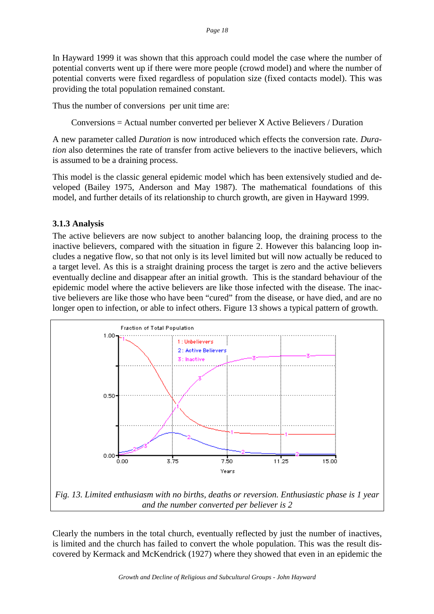In Hayward 1999 it was shown that this approach could model the case where the number of potential converts went up if there were more people (crowd model) and where the number of potential converts were fixed regardless of population size (fixed contacts model). This was providing the total population remained constant.

Thus the number of conversions per unit time are:

Conversions = Actual number converted per believer X Active Believers / Duration

A new parameter called *Duration* is now introduced which effects the conversion rate. *Duration* also determines the rate of transfer from active believers to the inactive believers, which is assumed to be a draining process.

This model is the classic general epidemic model which has been extensively studied and developed (Bailey 1975, Anderson and May 1987). The mathematical foundations of this model, and further details of its relationship to church growth, are given in Hayward 1999.

#### **3.1.3 Analysis**

The active believers are now subject to another balancing loop, the draining process to the inactive believers, compared with the situation in figure 2. However this balancing loop includes a negative flow, so that not only is its level limited but will now actually be reduced to a target level. As this is a straight draining process the target is zero and the active believers eventually decline and disappear after an initial growth. This is the standard behaviour of the epidemic model where the active believers are like those infected with the disease. The inactive believers are like those who have been "cured" from the disease, or have died, and are no longer open to infection, or able to infect others. Figure 13 shows a typical pattern of growth.



Clearly the numbers in the total church, eventually reflected by just the number of inactives, is limited and the church has failed to convert the whole population. This was the result discovered by Kermack and McKendrick (1927) where they showed that even in an epidemic the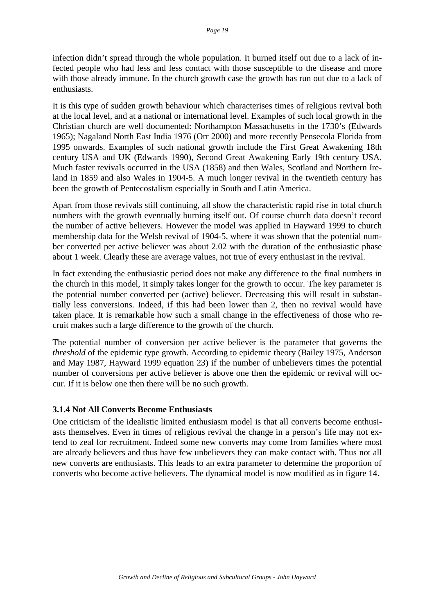infection didn't spread through the whole population. It burned itself out due to a lack of infected people who had less and less contact with those susceptible to the disease and more with those already immune. In the church growth case the growth has run out due to a lack of enthusiasts.

It is this type of sudden growth behaviour which characterises times of religious revival both at the local level, and at a national or international level. Examples of such local growth in the Christian church are well documented: Northampton Massachusetts in the 1730's (Edwards 1965); Nagaland North East India 1976 (Orr 2000) and more recently Pensecola Florida from 1995 onwards. Examples of such national growth include the First Great Awakening 18th century USA and UK (Edwards 1990), Second Great Awakening Early 19th century USA. Much faster revivals occurred in the USA (1858) and then Wales, Scotland and Northern Ireland in 1859 and also Wales in 1904-5. A much longer revival in the twentieth century has been the growth of Pentecostalism especially in South and Latin America.

Apart from those revivals still continuing, all show the characteristic rapid rise in total church numbers with the growth eventually burning itself out. Of course church data doesn't record the number of active believers. However the model was applied in Hayward 1999 to church membership data for the Welsh revival of 1904-5, where it was shown that the potential number converted per active believer was about 2.02 with the duration of the enthusiastic phase about 1 week. Clearly these are average values, not true of every enthusiast in the revival.

In fact extending the enthusiastic period does not make any difference to the final numbers in the church in this model, it simply takes longer for the growth to occur. The key parameter is the potential number converted per (active) believer. Decreasing this will result in substantially less conversions. Indeed, if this had been lower than 2, then no revival would have taken place. It is remarkable how such a small change in the effectiveness of those who recruit makes such a large difference to the growth of the church.

The potential number of conversion per active believer is the parameter that governs the *threshold* of the epidemic type growth. According to epidemic theory (Bailey 1975, Anderson and May 1987, Hayward 1999 equation 23) if the number of unbelievers times the potential number of conversions per active believer is above one then the epidemic or revival will occur. If it is below one then there will be no such growth.

#### **3.1.4 Not All Converts Become Enthusiasts**

One criticism of the idealistic limited enthusiasm model is that all converts become enthusiasts themselves. Even in times of religious revival the change in a person's life may not extend to zeal for recruitment. Indeed some new converts may come from families where most are already believers and thus have few unbelievers they can make contact with. Thus not all new converts are enthusiasts. This leads to an extra parameter to determine the proportion of converts who become active believers. The dynamical model is now modified as in figure 14.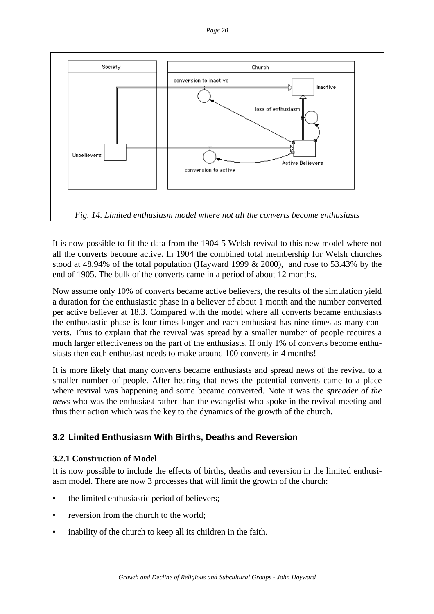

It is now possible to fit the data from the 1904-5 Welsh revival to this new model where not all the converts become active. In 1904 the combined total membership for Welsh churches stood at 48.94% of the total population (Hayward 1999 & 2000), and rose to 53.43% by the end of 1905. The bulk of the converts came in a period of about 12 months.

Now assume only 10% of converts became active believers, the results of the simulation yield a duration for the enthusiastic phase in a believer of about 1 month and the number converted per active believer at 18.3. Compared with the model where all converts became enthusiasts the enthusiastic phase is four times longer and each enthusiast has nine times as many converts. Thus to explain that the revival was spread by a smaller number of people requires a much larger effectiveness on the part of the enthusiasts. If only 1% of converts become enthusiasts then each enthusiast needs to make around 100 converts in 4 months!

It is more likely that many converts became enthusiasts and spread news of the revival to a smaller number of people. After hearing that news the potential converts came to a place where revival was happening and some became converted. Note it was the *spreader of the news* who was the enthusiast rather than the evangelist who spoke in the revival meeting and thus their action which was the key to the dynamics of the growth of the church.

# **3.2 Limited Enthusiasm With Births, Deaths and Reversion**

# **3.2.1 Construction of Model**

It is now possible to include the effects of births, deaths and reversion in the limited enthusiasm model. There are now 3 processes that will limit the growth of the church:

- the limited enthusiastic period of believers;
- reversion from the church to the world:
- inability of the church to keep all its children in the faith.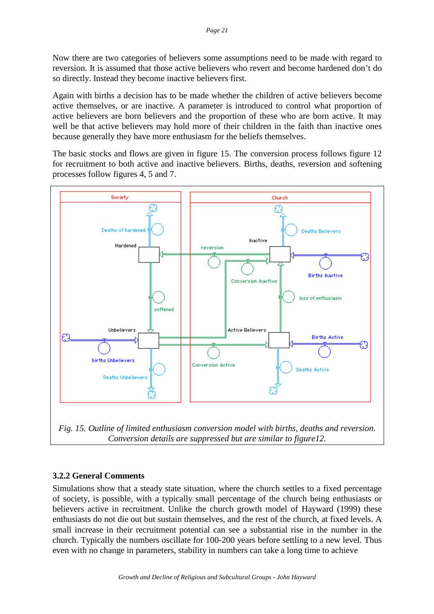Now there are two categories of believers some assumptions need to be made with regard to reversion. It is assumed that those active believers who revert and become hardened don't do so directly. Instead they become inactive believers first.

Again with births a decision has to be made whether the children of active believers become active themselves, or are inactive. A parameter is introduced to control what proportion of active believers are born believers and the proportion of these who are born active. It may well be that active believers may hold more of their children in the faith than inactive ones because generally they have more enthusiasm for the beliefs themselves.

The basic stocks and flows are given in figure 15. The conversion process follows figure 12 for recruitment to both active and inactive believers. Births, deaths, reversion and softening processes follow figures 4, 5 and 7.



*Conversion details are suppressed but are similar to figure12.*

# **3.2.2 General Comments**

Simulations show that a steady state situation, where the church settles to a fixed percentage of society, is possible, with a typically small percentage of the church being enthusiasts or believers active in recruitment. Unlike the church growth model of Hayward (1999) these enthusiasts do not die out but sustain themselves, and the rest of the church, at fixed levels. A small increase in their recruitment potential can see a substantial rise in the number in the church. Typically the numbers oscillate for 100-200 years before settling to a new level. Thus even with no change in parameters, stability in numbers can take a long time to achieve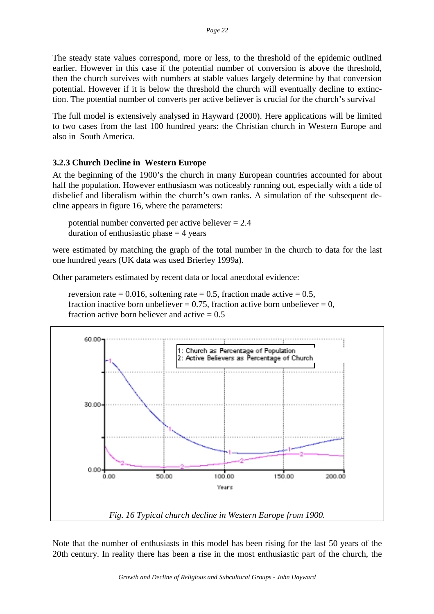The steady state values correspond, more or less, to the threshold of the epidemic outlined earlier. However in this case if the potential number of conversion is above the threshold, then the church survives with numbers at stable values largely determine by that conversion potential. However if it is below the threshold the church will eventually decline to extinction. The potential number of converts per active believer is crucial for the church's survival

The full model is extensively analysed in Hayward (2000). Here applications will be limited to two cases from the last 100 hundred years: the Christian church in Western Europe and also in South America.

#### **3.2.3 Church Decline in Western Europe**

At the beginning of the 1900's the church in many European countries accounted for about half the population. However enthusiasm was noticeably running out, especially with a tide of disbelief and liberalism within the church's own ranks. A simulation of the subsequent decline appears in figure 16, where the parameters:

potential number converted per active believer = 2.4 duration of enthusiastic phase  $=$  4 years

were estimated by matching the graph of the total number in the church to data for the last one hundred years (UK data was used Brierley 1999a).

Other parameters estimated by recent data or local anecdotal evidence:

reversion rate = 0.016, softening rate = 0.5, fraction made active =  $0.5$ , fraction inactive born unbeliever =  $0.75$ , fraction active born unbeliever = 0, fraction active born believer and active  $= 0.5$ 



Note that the number of enthusiasts in this model has been rising for the last 50 years of the 20th century. In reality there has been a rise in the most enthusiastic part of the church, the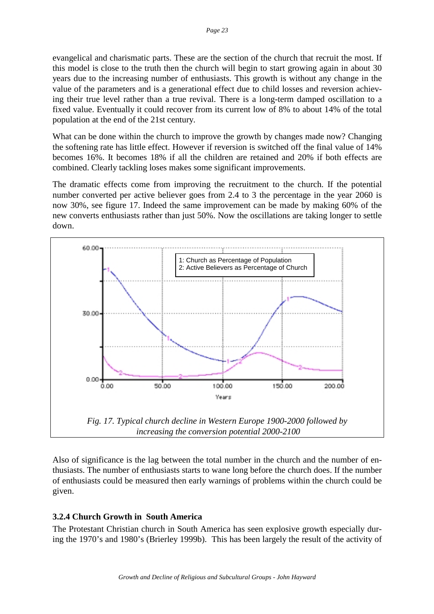evangelical and charismatic parts. These are the section of the church that recruit the most. If this model is close to the truth then the church will begin to start growing again in about 30 years due to the increasing number of enthusiasts. This growth is without any change in the value of the parameters and is a generational effect due to child losses and reversion achieving their true level rather than a true revival. There is a long-term damped oscillation to a fixed value. Eventually it could recover from its current low of 8% to about 14% of the total population at the end of the 21st century.

What can be done within the church to improve the growth by changes made now? Changing the softening rate has little effect. However if reversion is switched off the final value of 14% becomes 16%. It becomes 18% if all the children are retained and 20% if both effects are combined. Clearly tackling loses makes some significant improvements.

The dramatic effects come from improving the recruitment to the church. If the potential number converted per active believer goes from 2.4 to 3 the percentage in the year 2060 is now 30%, see figure 17. Indeed the same improvement can be made by making 60% of the new converts enthusiasts rather than just 50%. Now the oscillations are taking longer to settle down.



Also of significance is the lag between the total number in the church and the number of enthusiasts. The number of enthusiasts starts to wane long before the church does. If the number of enthusiasts could be measured then early warnings of problems within the church could be given.

# **3.2.4 Church Growth in South America**

The Protestant Christian church in South America has seen explosive growth especially during the 1970's and 1980's (Brierley 1999b). This has been largely the result of the activity of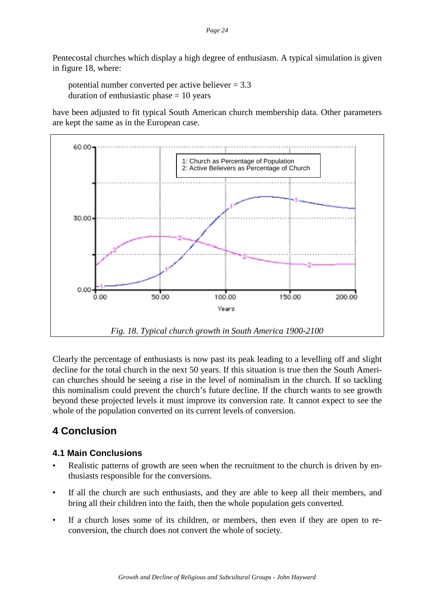Pentecostal churches which display a high degree of enthusiasm. A typical simulation is given in figure 18, where:

potential number converted per active believer = 3.3 duration of enthusiastic phase  $= 10$  years

have been adjusted to fit typical South American church membership data. Other parameters are kept the same as in the European case.



Clearly the percentage of enthusiasts is now past its peak leading to a levelling off and slight decline for the total church in the next 50 years. If this situation is true then the South American churches should be seeing a rise in the level of nominalism in the church. If so tackling this nominalism could prevent the church's future decline. If the church wants to see growth beyond these projected levels it must improve its conversion rate. It cannot expect to see the whole of the population converted on its current levels of conversion.

# **4 Conclusion**

# **4.1 Main Conclusions**

- Realistic patterns of growth are seen when the recruitment to the church is driven by enthusiasts responsible for the conversions.
- If all the church are such enthusiasts, and they are able to keep all their members, and bring all their children into the faith, then the whole population gets converted.
- If a church loses some of its children, or members, then even if they are open to reconversion, the church does not convert the whole of society.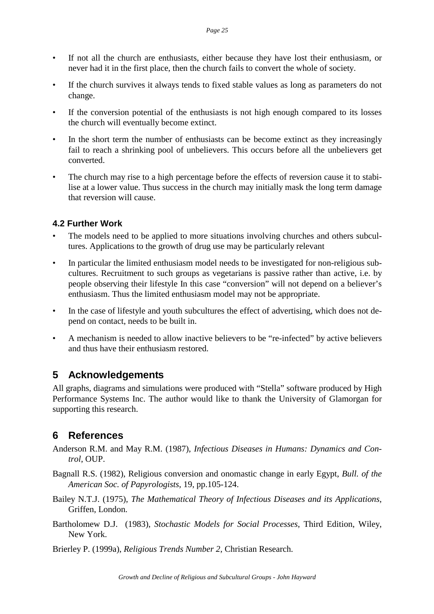- If not all the church are enthusiasts, either because they have lost their enthusiasm, or never had it in the first place, then the church fails to convert the whole of society.
- If the church survives it always tends to fixed stable values as long as parameters do not change.
- If the conversion potential of the enthusiasts is not high enough compared to its losses the church will eventually become extinct.
- In the short term the number of enthusiasts can be become extinct as they increasingly fail to reach a shrinking pool of unbelievers. This occurs before all the unbelievers get converted.
- The church may rise to a high percentage before the effects of reversion cause it to stabilise at a lower value. Thus success in the church may initially mask the long term damage that reversion will cause.

# **4.2 Further Work**

- The models need to be applied to more situations involving churches and others subcultures. Applications to the growth of drug use may be particularly relevant
- In particular the limited enthusiasm model needs to be investigated for non-religious subcultures. Recruitment to such groups as vegetarians is passive rather than active, i.e. by people observing their lifestyle In this case "conversion" will not depend on a believer's enthusiasm. Thus the limited enthusiasm model may not be appropriate.
- In the case of lifestyle and youth subcultures the effect of advertising, which does not depend on contact, needs to be built in.
- A mechanism is needed to allow inactive believers to be "re-infected" by active believers and thus have their enthusiasm restored.

# **5 Acknowledgements**

All graphs, diagrams and simulations were produced with "Stella" software produced by High Performance Systems Inc. The author would like to thank the University of Glamorgan for supporting this research.

# **6 References**

- Anderson R.M. and May R.M. (1987), *Infectious Diseases in Humans: Dynamics and Control*, OUP.
- Bagnall R.S. (1982), Religious conversion and onomastic change in early Egypt, *Bull. of the American Soc. of Papyrologists*, 19, pp.105-124.
- Bailey N.T.J. (1975), *The Mathematical Theory of Infectious Diseases and its Applications*, Griffen, London.
- Bartholomew D.J. (1983), *Stochastic Models for Social Processes*, Third Edition, Wiley, New York.

Brierley P. (1999a), *Religious Trends Number 2*, Christian Research.